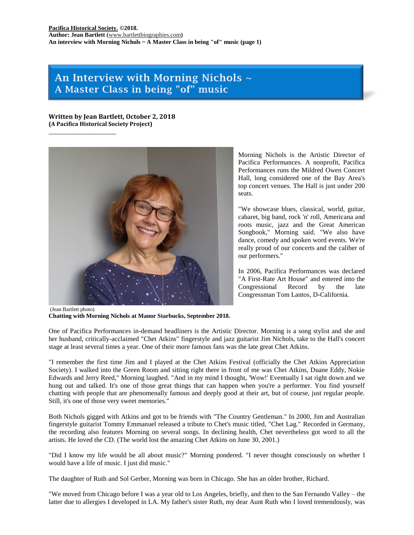# An Interview with Morning Nichols  $\sim$ A Master Class in being "of" music

**Written by Jean Bartlett, October 2, 2018 (A Pacifica Historical Society Project)**

\_\_\_\_\_\_\_\_\_\_\_\_\_\_\_\_\_\_\_\_



Morning Nichols is the Artistic Director of Pacifica Performances. A nonprofit, Pacifica Performances runs the Mildred Owen Concert Hall, long considered one of the Bay Area's top concert venues. The Hall is just under 200 seats.

"We showcase blues, classical, world, guitar, cabaret, big band, rock 'n' roll, Americana and roots music, jazz and the Great American Songbook," Morning said. "We also have dance, comedy and spoken word events. We're really proud of our concerts and the caliber of our performers."

In 2006, Pacifica Performances was declared "A First-Rate Art House" and entered into the Congressional Record by the late Congressman Tom Lantos, D-California.

(Jean Bartlett photo) **Chatting with Morning Nichols at Manor Starbucks, September 2018.**

One of Pacifica Performances in-demand headliners is the Artistic Director. Morning is a song stylist and she and her husband, critically-acclaimed "Chet Atkins" fingerstyle and jazz guitarist Jim Nichols, take to the Hall's concert stage at least several times a year. One of their more famous fans was the late great Chet Atkins.

"I remember the first time Jim and I played at the Chet Atkins Festival (officially the Chet Atkins Appreciation Society). I walked into the Green Room and sitting right there in front of me was Chet Atkins, Duane Eddy, Nokie Edwards and Jerry Reed," Morning laughed. "And in my mind I thought, 'Wow!' Eventually I sat right down and we hung out and talked. It's one of those great things that can happen when you're a performer. You find yourself chatting with people that are phenomenally famous and deeply good at their art, but of course, just regular people. Still, it's one of those very sweet memories."

Both Nichols gigged with Atkins and got to be friends with "The Country Gentleman." In 2000, Jim and Australian fingerstyle guitarist Tommy Emmanuel released a tribute to Chet's music titled, "Chet Lag." Recorded in Germany, the recording also features Morning on several songs. In declining health, Chet nevertheless got word to all the artists. He loved the CD. (The world lost the amazing Chet Atkins on June 30, 2001.)

"Did I know my life would be all about music?" Morning pondered. "I never thought consciously on whether I would have a life of music. I just did music."

The daughter of Ruth and Sol Gerber, Morning was born in Chicago. She has an older brother, Richard.

"We moved from Chicago before I was a year old to Los Angeles, briefly, and then to the San Fernando Valley – the latter due to allergies I developed in LA. My father's sister Ruth, my dear Aunt Ruth who I loved tremendously, was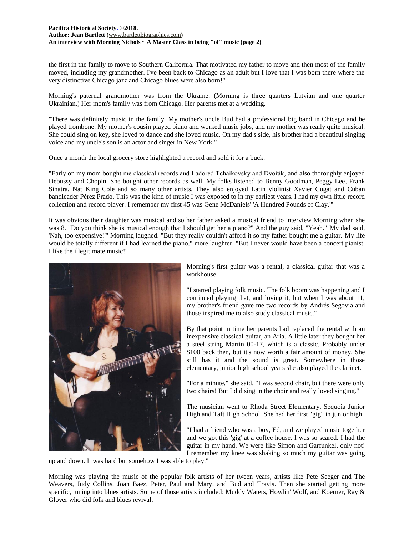#### **[Pacifica Historical Society.](http://pacificahistory.org/) ©2018. Author: Jean Bartlett (**[www.bartlettbiographies.com](http://www.bartlettbiographies.com/)**) An interview with Morning Nichols ~ A Master Class in being "of" music (page 2)**

the first in the family to move to Southern California. That motivated my father to move and then most of the family moved, including my grandmother. I've been back to Chicago as an adult but I love that I was born there where the very distinctive Chicago jazz and Chicago blues were also born!"

Morning's paternal grandmother was from the Ukraine. (Morning is three quarters Latvian and one quarter Ukrainian.) Her mom's family was from Chicago. Her parents met at a wedding.

"There was definitely music in the family. My mother's uncle Bud had a professional big band in Chicago and he played trombone. My mother's cousin played piano and worked music jobs, and my mother was really quite musical. She could sing on key, she loved to dance and she loved music. On my dad's side, his brother had a beautiful singing voice and my uncle's son is an actor and singer in New York."

Once a month the local grocery store highlighted a record and sold it for a buck.

"Early on my mom bought me classical records and I adored Tchaikovsky and Dvořák, and also thoroughly enjoyed Debussy and Chopin. She bought other records as well. My folks listened to Benny Goodman, Peggy Lee, Frank Sinatra, Nat King Cole and so many other artists. They also enjoyed Latin violinist Xavier Cugat and Cuban bandleader Pérez Prado. This was the kind of music I was exposed to in my earliest years. I had my own little record collection and record player. I remember my first 45 was Gene McDaniels' 'A Hundred Pounds of Clay.'"

It was obvious their daughter was musical and so her father asked a musical friend to interview Morning when she was 8. "Do you think she is musical enough that I should get her a piano?" And the guy said, "Yeah." My dad said, 'Nah, too expensive!'" Morning laughed. "But they really couldn't afford it so my father bought me a guitar. My life would be totally different if I had learned the piano," more laughter. "But I never would have been a concert pianist. I like the illegitimate music!"



Morning's first guitar was a rental, a classical guitar that was a workhouse.

"I started playing folk music. The folk boom was happening and I continued playing that, and loving it, but when I was about 11, my brother's friend gave me two records by Andrés Segovia and those inspired me to also study classical music."

By that point in time her parents had replaced the rental with an inexpensive classical guitar, an Aria. A little later they bought her a steel string Martin 00-17, which is a classic. Probably under \$100 back then, but it's now worth a fair amount of money. She still has it and the sound is great. Somewhere in those elementary, junior high school years she also played the clarinet.

"For a minute," she said. "I was second chair, but there were only two chairs! But I did sing in the choir and really loved singing."

The musician went to Rhoda Street Elementary, Sequoia Junior High and Taft High School. She had her first "gig" in junior high.

"I had a friend who was a boy, Ed, and we played music together and we got this 'gig' at a coffee house. I was so scared. I had the guitar in my hand. We were like Simon and Garfunkel, only not! I remember my knee was shaking so much my guitar was going

up and down. It was hard but somehow I was able to play."

Morning was playing the music of the popular folk artists of her tween years, artists like Pete Seeger and The Weavers, Judy Collins, Joan Baez, Peter, Paul and Mary, and Bud and Travis. Then she started getting more specific, tuning into blues artists. Some of those artists included: Muddy Waters, Howlin' Wolf, and Koerner, Ray & Glover who did folk and blues revival.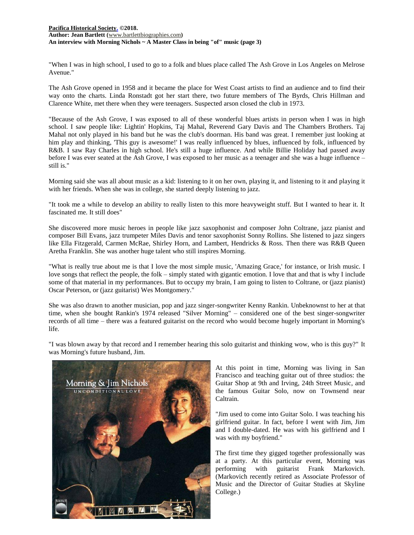# **[Pacifica Historical Society.](http://pacificahistory.org/) ©2018. Author: Jean Bartlett (**[www.bartlettbiographies.com](http://www.bartlettbiographies.com/)**) An interview with Morning Nichols ~ A Master Class in being "of" music (page 3)**

"When I was in high school, I used to go to a folk and blues place called The Ash Grove in Los Angeles on Melrose Avenue."

The Ash Grove opened in 1958 and it became the place for West Coast artists to find an audience and to find their way onto the charts. Linda Ronstadt got her start there, two future members of The Byrds, Chris Hillman and Clarence White, met there when they were teenagers. Suspected arson closed the club in 1973.

"Because of the Ash Grove, I was exposed to all of these wonderful blues artists in person when I was in high school. I saw people like: Lightin' Hopkins, Taj Mahal, Reverend Gary Davis and The Chambers Brothers. Taj Mahal not only played in his band but he was the club's doorman. His band was great. I remember just looking at him play and thinking, 'This guy is awesome!' I was really influenced by blues, influenced by folk, influenced by R&B. I saw Ray Charles in high school. He's still a huge influence. And while Billie Holiday had passed away before I was ever seated at the Ash Grove, I was exposed to her music as a teenager and she was a huge influence – still is."

Morning said she was all about music as a kid: listening to it on her own, playing it, and listening to it and playing it with her friends. When she was in college, she started deeply listening to jazz.

"It took me a while to develop an ability to really listen to this more heavyweight stuff. But I wanted to hear it. It fascinated me. It still does"

She discovered more music heroes in people like jazz saxophonist and composer John Coltrane, jazz pianist and composer Bill Evans, jazz trumpeter Miles Davis and tenor saxophonist Sonny Rollins. She listened to jazz singers like Ella Fitzgerald, Carmen McRae, Shirley Horn, and Lambert, Hendricks & Ross. Then there was R&B Queen Aretha Franklin. She was another huge talent who still inspires Morning.

"What is really true about me is that I love the most simple music, 'Amazing Grace,' for instance, or Irish music. I love songs that reflect the people, the folk – simply stated with gigantic emotion. I love that and that is why I include some of that material in my performances. But to occupy my brain, I am going to listen to Coltrane, or (jazz pianist) Oscar Peterson, or (jazz guitarist) Wes Montgomery."

She was also drawn to another musician, pop and jazz singer-songwriter Kenny Rankin. Unbeknownst to her at that time, when she bought Rankin's 1974 released "Silver Morning" – considered one of the best singer-songwriter records of all time – there was a featured guitarist on the record who would become hugely important in Morning's life.



"I was blown away by that record and I remember hearing this solo guitarist and thinking wow, who is this guy?" It was Morning's future husband, Jim.

> At this point in time, Morning was living in San Francisco and teaching guitar out of three studios: the Guitar Shop at 9th and Irving, 24th Street Music, and the famous Guitar Solo, now on Townsend near Caltrain.

> "Jim used to come into Guitar Solo. I was teaching his girlfriend guitar. In fact, before I went with Jim, Jim and I double-dated. He was with his girlfriend and I was with my boyfriend."

> The first time they gigged together professionally was at a party. At this particular event, Morning was performing with guitarist Frank Markovich. (Markovich recently retired as Associate Professor of Music and the Director of Guitar Studies at Skyline College.)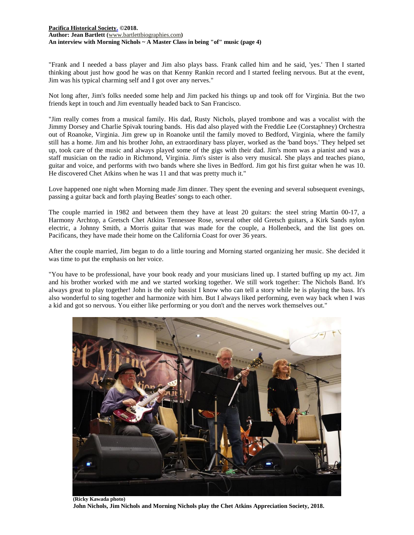# **[Pacifica Historical Society.](http://pacificahistory.org/) ©2018. Author: Jean Bartlett (**[www.bartlettbiographies.com](http://www.bartlettbiographies.com/)**) An interview with Morning Nichols ~ A Master Class in being "of" music (page 4)**

"Frank and I needed a bass player and Jim also plays bass. Frank called him and he said, 'yes.' Then I started thinking about just how good he was on that Kenny Rankin record and I started feeling nervous. But at the event, Jim was his typical charming self and I got over any nerves."

Not long after, Jim's folks needed some help and Jim packed his things up and took off for Virginia. But the two friends kept in touch and Jim eventually headed back to San Francisco.

"Jim really comes from a musical family. His dad, Rusty Nichols, played trombone and was a vocalist with the Jimmy Dorsey and Charlie Spivak touring bands. His dad also played with the Freddie Lee (Corstaphney) Orchestra out of Roanoke, Virginia. Jim grew up in Roanoke until the family moved to Bedford, Virginia, where the family still has a home. Jim and his brother John, an extraordinary bass player, worked as the 'band boys.' They helped set up, took care of the music and always played some of the gigs with their dad. Jim's mom was a pianist and was a staff musician on the radio in Richmond, Virginia. Jim's sister is also very musical. She plays and teaches piano, guitar and voice, and performs with two bands where she lives in Bedford. Jim got his first guitar when he was 10. He discovered Chet Atkins when he was 11 and that was pretty much it."

Love happened one night when Morning made Jim dinner. They spent the evening and several subsequent evenings, passing a guitar back and forth playing Beatles' songs to each other.

The couple married in 1982 and between them they have at least 20 guitars: the steel string Martin 00-17, a Harmony Archtop, a Gretsch Chet Atkins Tennessee Rose, several other old Gretsch guitars, a Kirk Sands nylon electric, a Johnny Smith, a Morris guitar that was made for the couple, a Hollenbeck, and the list goes on. Pacificans, they have made their home on the California Coast for over 36 years.

After the couple married, Jim began to do a little touring and Morning started organizing her music. She decided it was time to put the emphasis on her voice.

"You have to be professional, have your book ready and your musicians lined up. I started buffing up my act. Jim and his brother worked with me and we started working together. We still work together: The Nichols Band. It's always great to play together! John is the only bassist I know who can tell a story while he is playing the bass. It's also wonderful to sing together and harmonize with him. But I always liked performing, even way back when I was a kid and got so nervous. You either like performing or you don't and the nerves work themselves out."



**(Ricky Kawada photo) John Nichols, Jim Nichols and Morning Nichols play the Chet Atkins Appreciation Society, 2018.**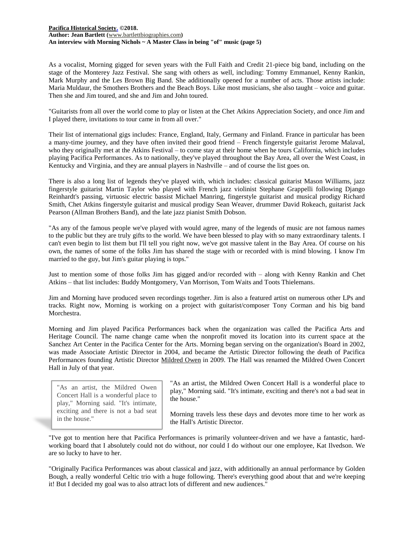# **[Pacifica Historical Society.](http://pacificahistory.org/) ©2018. Author: Jean Bartlett (**[www.bartlettbiographies.com](http://www.bartlettbiographies.com/)**) An interview with Morning Nichols ~ A Master Class in being "of" music (page 5)**

As a vocalist, Morning gigged for seven years with the Full Faith and Credit 21-piece big band, including on the stage of the Monterey Jazz Festival. She sang with others as well, including: Tommy Emmanuel, Kenny Rankin, Mark Murphy and the Les Brown Big Band. She additionally opened for a number of acts. Those artists include: Maria Muldaur, the Smothers Brothers and the Beach Boys. Like most musicians, she also taught – voice and guitar. Then she and Jim toured, and she and Jim and John toured.

"Guitarists from all over the world come to play or listen at the Chet Atkins Appreciation Society, and once Jim and I played there, invitations to tour came in from all over."

Their list of international gigs includes: France, England, Italy, Germany and Finland. France in particular has been a many-time journey, and they have often invited their good friend – French fingerstyle guitarist Jerome Malaval, who they originally met at the Atkins Festival – to come stay at their home when he tours California, which includes playing Pacifica Performances. As to nationally, they've played throughout the Bay Area, all over the West Coast, in Kentucky and Virginia, and they are annual players in Nashville – and of course the list goes on.

There is also a long list of legends they've played with, which includes: classical guitarist Mason Williams, jazz fingerstyle guitarist Martin Taylor who played with French jazz violinist Stephane Grappelli following Django Reinhardt's passing, virtuosic electric bassist Michael Manring, fingerstyle guitarist and musical prodigy Richard Smith, Chet Atkins fingerstyle guitarist and musical prodigy Sean Weaver, drummer David Rokeach, guitarist Jack Pearson (Allman Brothers Band), and the late jazz pianist Smith Dobson.

"As any of the famous people we've played with would agree, many of the legends of music are not famous names to the public but they are truly gifts to the world. We have been blessed to play with so many extraordinary talents. I can't even begin to list them but I'll tell you right now, we've got massive talent in the Bay Area. Of course on his own, the names of some of the folks Jim has shared the stage with or recorded with is mind blowing. I know I'm married to the guy, but Jim's guitar playing is tops."

Just to mention some of those folks Jim has gigged and/or recorded with – along with Kenny Rankin and Chet Atkins – that list includes: Buddy Montgomery, Van Morrison, Tom Waits and Toots Thielemans.

Jim and Morning have produced seven recordings together. Jim is also a featured artist on numerous other LPs and tracks. Right now, Morning is working on a project with guitarist/composer Tony Corman and his big band Morchestra.

Morning and Jim played Pacifica Performances back when the organization was called the Pacifica Arts and Heritage Council. The name change came when the nonprofit moved its location into its current space at the Sanchez Art Center in the Pacifica Center for the Arts. Morning began serving on the organization's Board in 2002, was made Associate Artistic Director in 2004, and became the Artistic Director following the death of Pacifica Performances founding Artistic Director [Mildred Owen](https://docs.wixstatic.com/ugd/5ea9c3_785e29eed3c345b7adbf081d7bf1a378.pdf) in 2009. The Hall was renamed the Mildred Owen Concert Hall in July of that year.

"As an artist, the Mildred Owen Concert Hall is a wonderful place to play," Morning said. "It's intimate, exciting and there is not a bad seat in the house."

"As an artist, the Mildred Owen Concert Hall is a wonderful place to play," Morning said. "It's intimate, exciting and there's not a bad seat in the house."

Morning travels less these days and devotes more time to her work as the Hall's Artistic Director.

"I've got to mention here that Pacifica Performances is primarily volunteer-driven and we have a fantastic, hardworking board that I absolutely could not do without, nor could I do without our one employee, Kat Ilvedson. We are so lucky to have to her.

"Originally Pacifica Performances was about classical and jazz, with additionally an annual performance by Golden Bough, a really wonderful Celtic trio with a huge following. There's everything good about that and we're keeping it! But I decided my goal was to also attract lots of different and new audiences."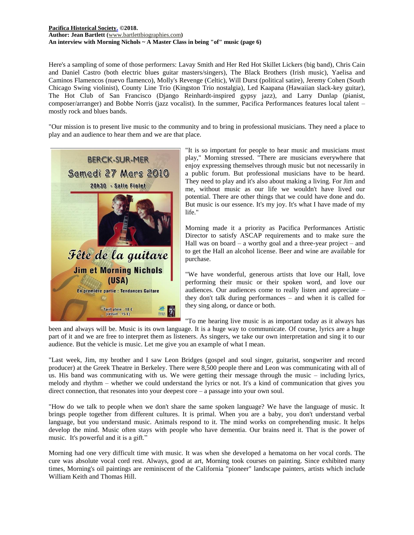# **[Pacifica Historical Society.](http://pacificahistory.org/) ©2018. Author: Jean Bartlett (**[www.bartlettbiographies.com](http://www.bartlettbiographies.com/)**) An interview with Morning Nichols ~ A Master Class in being "of" music (page 6)**

Here's a sampling of some of those performers: Lavay Smith and Her Red Hot Skillet Lickers (big band), Chris Cain and Daniel Castro (both electric blues guitar masters/singers), The Black Brothers (Irish music), Yaelisa and Caminos Flamencos (nuevo flamenco), Molly's Revenge (Celtic), Will Durst (political satire), Jeremy Cohen (South Chicago Swing violinist), County Line Trio (Kingston Trio nostalgia), Led Kaapana (Hawaiian slack-key guitar), The Hot Club of San Francisco (Django Reinhardt-inspired gypsy jazz), and Larry Dunlap (pianist, composer/arranger) and Bobbe Norris (jazz vocalist). In the summer, Pacifica Performances features local talent – mostly rock and blues bands.

"Our mission is to present live music to the community and to bring in professional musicians. They need a place to play and an audience to hear them and we are that place.



"It is so important for people to hear music and musicians must play," Morning stressed. "There are musicians everywhere that enjoy expressing themselves through music but not necessarily in a public forum. But professional musicians have to be heard. They need to play and it's also about making a living. For Jim and me, without music as our life we wouldn't have lived our potential. There are other things that we could have done and do. But music is our essence. It's my joy. It's what I have made of my life."

Morning made it a priority as Pacifica Performances Artistic Director to satisfy ASCAP requirements and to make sure the Hall was on board – a worthy goal and a three-year project – and to get the Hall an alcohol license. Beer and wine are available for purchase.

"We have wonderful, generous artists that love our Hall, love performing their music or their spoken word, and love our audiences. Our audiences come to really listen and appreciate – they don't talk during performances – and when it is called for they sing along, or dance or both.

"To me hearing live music is as important today as it always has

been and always will be. Music is its own language. It is a huge way to communicate. Of course, lyrics are a huge part of it and we are free to interpret them as listeners. As singers, we take our own interpretation and sing it to our audience. But the vehicle is music. Let me give you an example of what I mean.

"Last week, Jim, my brother and I saw Leon Bridges (gospel and soul singer, guitarist, songwriter and record producer) at the Greek Theatre in Berkeley. There were 8,500 people there and Leon was communicating with all of us. His band was communicating with us. We were getting their message through the music – including lyrics, melody and rhythm – whether we could understand the lyrics or not. It's a kind of communication that gives you direct connection, that resonates into your deepest core – a passage into your own soul.

"How do we talk to people when we don't share the same spoken language? We have the language of music. It brings people together from different cultures. It is primal. When you are a baby, you don't understand verbal language, but you understand music. Animals respond to it. The mind works on comprehending music. It helps develop the mind. Music often stays with people who have dementia. Our brains need it. That is the power of music. It's powerful and it is a gift."

Morning had one very difficult time with music. It was when she developed a hematoma on her vocal cords. The cure was absolute vocal cord rest. Always, good at art, Morning took courses on painting. Since exhibited many times, Morning's oil paintings are reminiscent of the California "pioneer" landscape painters, artists which include William Keith and Thomas Hill.